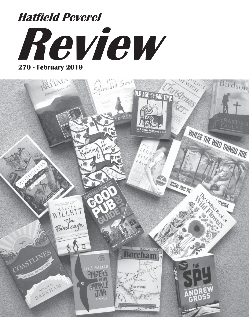# **Review 270 - February 2019 Hatfield Peverel**

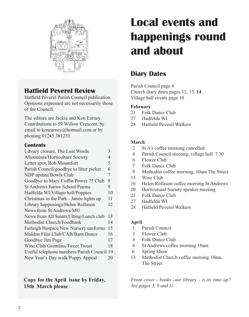

## **Hatfield Peverel Review**

Hatfield Peverel Parish Council publication. Opinions expressed are not necessarily those of the Council.

The editors are Jackie and Ken Earney. Contributions to 59 Willow Crescent, by email to kenearney@hotmail.com or by phoning 01245 381235.

#### **Contents**

| Library closure, The Lost Words            | 3  |
|--------------------------------------------|----|
| Allotments/Horticulture Society            | 4  |
| Letter spot, Bob Mountfort                 | 5  |
| Parish Council/goodbye to litter picker    | 6  |
| NDP update/Bowls Club                      | 7  |
| Goodbye to Mary Coffin/Power 75 Club       | 8  |
| St Andrews Junior School/Poems             | 9  |
| Hadfelda WI/Village hall/Poppies           | 10 |
| Christmas in the Park - Jamie lights up    | 11 |
| Library happenings/Helen Rollason          | 12 |
| News from St Andrews/MU                    |    |
| News from All Saints, Ulting/Lunch club    | 13 |
| Methodist Church/Foodbank                  | 14 |
| Farleigh Hospice/New Nursery uniforms      | 15 |
| Maldon Film Club/CAB/Barn Dance            | 16 |
| Goodbye Jim Page                           | 17 |
| Wine Club/Gremlins/Tweet Tweet             | 18 |
| Useful telephone numbers/Parish Council 19 |    |
| New Year's Day walk/Poppy Appeal           | 20 |
|                                            |    |

**Copy for the April issue by Friday, 15th March please**

## **Local events and happenings round and about**

## **Diary Dates**

Parish Council page 6 Church diary dates pages 12, 13, **14**  Village hall events page 10

#### **February**

- 21 Folk Dance Club
- 27 Hadfelda WI
- 28 Hatfield Peverel Walkers

#### **March**

- 2 St A's coffee morning cancelled
- 4 Parish Council meeting, village hall 7.30
- 6 Flower Club
- 7 Folk Dance Club
- 9 Methodist coffee morning, 10am The Street
- 13 Wine Club
- 16 Helen Rollason coffee morning St Andrews
- 20 Horticutural Society speaker meeting
- 21 Folk Dance Club
- 27 Hadfelda WI
- 28 Hatfield Peverel Walkers

#### **April**

- 1 Parish Council
- 3 Flower Club
- 4 Folk Dance Club
- 6 St Andrews coffee morning 10am
- 6 Spring Show
- 13 Methodist Church coffee morning 10am, The Street

*Front cover - books -our library - is its time up? See pages 3, 9 and 11*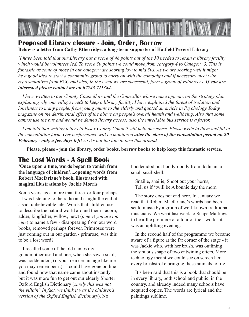

## **Proposed Library closure - Join, Order, Borrow Below is a letter from Cathy Etherridge, a long-term supporter of Hatfield Peverel Library**

*'I have been told that our Library has a score of 48 points out of the 50 needed to retain a library facility which would be volunteer led. To score 50 points we could move from category 4 to Category 3. This is fantastic as some of those in our category are scoring low to mid 30s. As we are scoring well it might be a good idea to start a community group to carry on with the campaign and if necessary meet with representatives from ECC and also, in the event we are successful, form a group of volunteers. If you are interested please contact me on 07743 711384.*

*I have written to our County Councillors and the Councillor whose name appears on the strategy plan explaining why our village needs to keep a library facility. I have explained the threat of isolation and loneliness to many people, from young mums to the elderly and quoted an article in Psychology Today magazine on the detrimental effect of the above on people's overall health and wellbeing. Also that some cannot use the bus and would be denied library access, also the unreliable bus service is a factor.*

*I am told that writing letters to Essex County Council will help our cause. Please write to them and fill in the consultation form. Our performance will be monitored after the close of the consultation period on 20 February - only a few days left! so it's not too late to turn this around.*

**Please, please - join the library, order books, borrow books to help keep this fantastic service.**

## **The Lost Words - A Spell Book**

**'Once upon a time, words began to vanish from the language of children'....opening words from Robert Macfarlane's book, illustrated with magical illustrations by Jackie Morris**

Some years ago - more than three or four perhaps - I was listening to the radio and caught the end of a sad, unbelievable tale. Words that children use to describe the natural world around them - acorn, adder, kingfisher, willow, newt (*o newt you are too cute*) to name a few - disappearing from our word books, removed perhaps forever. Primroses were just coming out in our garden - primrose, was this to be a lost word?

I recalled some of the old names my grandmother used and one, when she saw a snail, was hoddenidod, (if you are a certain age like me you may remember it). I could have gone on line and found how that name came about instantly but it was more fun to get out our elderly Shorter Oxford English Dictionary (*surely this was not the villain? In fact, we think it was the children's version of the Oxford English dictionary*). No

hoddenidod but hoddy-doddy from dodman, a small snail-shell.

 Snailie, snailie, Shoot out your horns, Tell us if 'twill be A bonnie day the morn

The story does not end here. In January we read that Robert Macfarlane's words had been set to music by a group of well-known traditional musicians. We went last week to Snape Maltings to hear the première of a tour of their work - it was an uplifting evening.

In the second half of the programme we became aware of a figure at the far corner of the stage - it was Jackie who, with her brush, was outlining the sinuous shape of two entwining otters. More technology meant we could see on screen her every brushstroke bringing these animals to life.

It's been said that this is a book that should be in every library, both school and public, in the country, and already indeed many schools have acquired copies. The words are lyrical and the paintings sublime.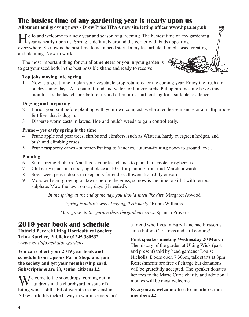## **The busiest time of any gardening year is nearly upon us**

#### **Allotment and growing news - Drew Price HPAA new site letting officer www.hpaa.org.uk**

Tello and welcome to a new year and season of gardening. The busiest time of any gardening  $\perp$  year is nearly upon us. Spring is definitely around the corner with buds appearing everywhere. So now is the best time to get a head start. In my last article, I emphasised creating and planning. Now to work.

The most important thing for our allotmenteers or you in your garden is to get your seed beds in the best possible shape and ready to receive.

#### **Top jobs moving into spring**

 1 Now is a great time to plan your vegetable crop rotations for the coming year. Enjoy the fresh air, on dry sunny days. Also put out food and water for hungry birds. Put up bird nesting boxes this month - it's the last chance before tits and other birds start looking for a suitable residence.

#### **Digging and preparing**

- 2 Enrich your soil before planting with your own compost, well-rotted horse manure or a multipurpose fertiliser that is dug in.
- 3 Disperse worm casts in lawns. Hoe and mulch weeds to gain control early.

#### **Prune – yes early spring is the time**

- 4 Prune apple and pear trees, shrubs and climbers, such as Wisteria, hardy evergreen hedges, and bush and climbing roses.
- 5 Prune raspberry canes summer-fruiting to 6 inches, autumn-fruiting down to ground level.

#### **Planting**

- 6 Start forcing rhubarb. And this is your last chance to plant bare-rooted raspberries.
- 7 Chit early spuds in a cool, light place at 10ºC for planting from mid-March onwards.
- 8 Sow sweet peas indoors in deep pots for endless flowers from July onwards.
- 9 Moss will start growing on lawns before the grass, so now is the time to kill it with ferrous sulphate. Mow the lawn on dry days (if needed).

*In the spring, at the end of the day, you should smell like dirt*. Margaret Atwood

*Spring is nature's way of saying, 'Let's party!'* Robin Williams

*More grows in the garden than the gardener sows.* Spanish Proverb

## **2019 year book and schedule**

**Hatfield Peverel/Ulting Horticultural Society Trina Butcher, Publicity 01245 380532** *www.essexinfo.nethatpevgardens*

**You can collect your 2019 year book and schedule from Upsons Farm Shop, and join the society and get your membership card. Subscriptions are £3, senior citizens £2.**

**Y** J elecome to the snowdrops, coming out in If hundreds in the churchyard in spite of a biting wind - still a bit of warmth in the sunshine A few daffodils tucked away in warm corners tho' a friend who lives in Bury Lane had blossoms since before Christmas and still coming!

**First speaker meeting Wednesday 20 March** The history of the garden at Ulting Wick (past and present) told by head gardener Louise Nicholls. Doors open 7.30pm, talk starts at 8pm. Refreshments are free of charge but donations will be gratefully accepted. The speaker donates her fees to the Marie Curie charity and additional monies will be most welcome.

**Everyone is welcome: free to members, non members £2.**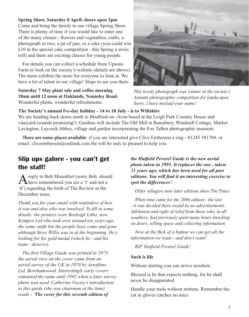#### **Spring Show, Saturday 8 April: doors open 2pm**

Come and bring the family to our village Spring Show. There is plenty of time if you would like to enter one of the many classes - flowers and vegetables, crafts, a photograph or two, a jar of jam, or a cake (you could win  $£10$  in the special cake competition - this Spring a swiss roll) and there are exciting classes for young people.

For details you can collect a schedule from Upsons Farm or look on the society's website (details are above). The more exhibits the more for everyone to look at. We have a lot of talent in our village! Hope to see you there.

**Saturday 7 May plant sale and coffee morning 10am until 12 noon at Oaklands, Nounsley Road.** Wonderful plants, wonderful refreshments.



*This lovely photograph was winner in the society's Autumn photographic competition for landscapes. Sorry, I have mislaid your name!* 

#### **The Society's annual fve-day holiday - 14 to 18 July - is to Wiltshire**

We are heading back down south to Bradford-on -Avon based at the Leigh Park Country House and vineyard (sounds promising!). Gardens will include The Old Mill at Ramsbury, Windmill Cottage, Market Lavington, Laycock Abbey, village and garden incorporating the Fox Talbot photographic museum.

**There are some places available**: if you are interested give Clive Emberson a ring - 01245 381704, or email: cliveemberson@outlook.com He will be only to pleased to help you.

## **Slip ups galore - you can't get the staff!**

reply to Bob Mountfort (sorry Bob, should  $\sum$  have remembered you are a 't' and not a 'd') regarding the birth of The Review in the December issue.

*Thank you for your email with reminders of how it was and also who was involved. To fill in some details: the printers were Beeleigh Litho, now Kempco Ltd who took over around ten years ago, the same outfit but the people have come and gone although Steve Willis was in at the beginning. He's looking for his gold medal (which he - and his team - deserve).*

*The first Village Guide was printed in 1973: the aerial view on the cover came from an aerial survey of the UK in 1970 by Aerofilms Ltd, Borehamwood. Interestingly early covers remained the same until 1992 when a later survey photo was used. Catherine Voysey's introduction to this guide (she was chairman at the time) reads* - *'The cover for this seventh edition of* 

*the Hatfield Peverel Guide is the new aerial photo taken in 1991. It replaces the one , taken 21 years ago, which has been used for all past editions. You will find it an interesting exercise to spot the differences'.*

*Older villagers note later editions show The Pines.*

*When time came for the 2006 edition - the last - it was decided there would be no advertisements. Jubilation and sighs of relief from those who, in all weathers, had previously spent many hours knocking on doors, selling space and collecting information.*

*Now at the flick of a button we can get all the information we want - and don't want!*

*RIP Hatfield Peverel Guide!*

#### **Such is life**

Without starting you can arrive nowhere

Blessed is he that expects nothing, for he shall never be disappointed

Handle your tools without mittens. Remember the cat in gloves catches no mice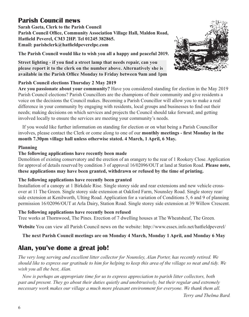## **Parish Council news**

**Sarah Gaeta, Clerk to the Parish Council Parish Council Office, Community Association Village Hall, Maldon Road, Hatfield Peverel, CM3 2HP. Tel 01245 382865. Email: parishclerk@hatfieldpeverelpc.com**

**The Parish Council would like to wish you all a happy and peaceful 2019.**

**Street lighting - if you find a street lamp that needs repair, can you please report it to the clerk on the number above. Alternatively she is** available in the Parish Office Monday to Friday between 9am and 1pm



**Are you passionate about your community?** Have you considered standing for election in the May 2019 Parish Council elections? Parish Councillors are the champions of their community and give residents a voice on the decisions the Council makes. Becoming a Parish Councillor will allow you to make a real difference in your community by engaging with residents, local groups and businesses to find out their needs; making decisions on which services and projects the Council should take forward; and getting involved locally to ensure the services are meeting your community's needs.

If you would like further information on standing for election or on what being a Parish Councillor involves, please contact the Clerk or come along to one of our **monthly meetings - first Monday in the month 7.30pm village hall unless otherwise stated. 4 March, 1 April, 6 May.**

#### **Planning**

#### **The following applications have recently been made**

Demolition of existing conservatory and the erection of an orangery to the rear of 1 Rookery Close. Application for approval of details reserved by condition 3 of approval 16/02096/OUT at land at Station Road. **Please note, these applications may have been granted, withdrawn or refused by the time of printing.**

#### **The following applications have recently been granted**

Installation of a canopy at 1 Birkdale Rise. Single storey side and rear extensions and new vehicle crossover at 11 The Green. Single storey side extension at Oakford Farm, Nounsley Road. Single storey rear/ side extension at Kenilworth, Ulting Road. Application for a variation of Conditions 5, 6 and 9 of planning permission 16/02096/OUT at Arla Dairy, Station Road. Single storey side extension at 39 Willow Crescent.

#### **The following applications have recently been refused**

Tree works at Thornwood, The Pines. Erection of 7 dwelling houses at The Wheatsheaf, The Green.

**Website** You can view all Parish Council news on the website: http://www.essex.info.net/hatfieldpeverel/

#### **The next Parish Council meetings are on Monday 4 March, Monday 1 April, and Monday 6 May**

## **Alan, you've done a great job!**

*The very long serving and excellent litter collector for Nounsley, Alan Porter, has recently retired. We should like to express our gratitude to him for helping to keep this area of the village so neat and tidy. We wish you all the best, Alan.*

*Now is perhaps an appropriate time for us to express appreciation to parish litter collectors, both past and present. They go about their duties quietly and unobtrusively, but their regular and extremely necessary work makes our village a much more pleasant environment for everyone. We thank them all.*

*Terry and Thelma Bard.* 

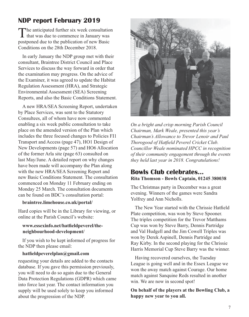## **NDP report February 2019**

The anticipated further six week consultation<br>that was due to commence in January was postponed due to the publication of new Basic Conditions on the 28th December 2018.

In early January the NDP group met with their consultant, Braintree District Council and Place Services to discuss the way forward in order that the examination may progress. On the advice of the Examiner, it was agreed to update the Habitat Regulation Assessment (HRA), and Strategic Environmental Assessment (SEA) Screening Reports, and also the Basic Conditions Statement.

A new HRA/SEA Screening Report, undertaken by Place Services, was sent to the Statutory Consultees, all of whom have now commented enabling a six week public consultation to take place on the amended version of the Plan which includes the three focused changes to Policies FI1 Transport and Access (page 47), HO1 Design of New Developments (page 57) and HO6 Allocation of the former Arla site (page 63) consulted on last May/June. A detailed report on why changes have been made will accompany the Plan along with the new HRA/SEA Screening Report and new Basic Conditions Statement. The consultation commenced on Monday 11 February ending on Monday 25 March. The consultation documents can be found on BDC's consultation portal:

#### **braintree.limehouse.co.uk/portal/**

Hard copies will be in the Library for viewing, or online at the Parish Council's website:

#### **www.essexinfo.net/hatfieldpeverel/the neighbourhood-development/**

If you wish to be kept informed of progress for the NDP then please email:

#### **hatfieldpeverelplan@gmail.com**

requesting your details are added to the contacts database. If you gave this permission previously, you will need to do so again due to the General Data Protection Regulations (GDPR) which came into force last year. The contact information you supply will be used solely to keep you informed about the progression of the NDP.



*On a bright and crisp morning Parish Council Chairman, Mark Weale, presented this year's Chairman's Allowance to Trevor Lenoir and Paul Thorogood of Hatfield Peverel Cricket Club. Councillor Weale nominated HPCC in recognition of their community engagement through the events they held last year in 2018. Congratulations!*

#### **Bowls Club celebrates... Rita Thomson - Bowls Captain, 01245 380038**

The Christmas party in December was a great evening. Winners of the games were Sandra Yolfrey and Ann Nicholls.

The New Year started with the Chrissie Hatfield Plate competition, was won by Steve Spooner. The triples competition for the Trevor Matthams Cup was won by Steve Barry, Dennis Partridge and Val Hudgell and the Jim Cowell Triples was won by Derek Aspinell, Dennis Partridge and Ray Kirby. In the second playing for the Chrissie Harris Memorial Cup Steve Barry was the winner.

Having recovered ourselves, the Tuesday League is going well and in the Essex League we won the away match against Courage. Our home match against Sanquine Reds resulted in another win. We are now in second spot!

**On behalf of the players at the Bowling Club, a happy new year to you all.**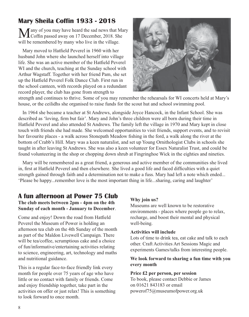## **Mary Sheila Coffin 1933 - 2018**

Many of you may have heard the sad news that Mary<br>Coffin passed away on 17 December, 2018. She will be remembered by many who live in the village.

Mary moved to Hatfield Peverel in 1960 with her husband John where she launched herself into village life. She was an active member of the Hatfield Peverel WI and the church, teaching at the Sunday school with Arthur Wagstaff. Together with her friend Pam, she set up the Hatfield Peverel Folk Dance Club. First run in the school canteen, with records played on a redundant record player, the club has gone from strength to



strength and continues to thrive. Some of you may remember the rehearsals for WI concerts held at Mary's house, or the ceilidhs she organised to raise funds for the scout hut and school swimming pool.

In 1964 she became a teacher at St Andrews, alongside Joyce Hancock, in the Infant School. She was described as 'loving, firm but fair'. Mary and John's three children were all born during their time in Hatfield Peverel and also attended St Andrews. The family left the village in 1970 and Mary kept in close touch with friends she had made. She welcomed opportunities to visit friends, support events, and to revisit her favourite places - a walk across Stonepath Meadow fishing in the ford, a walk along the river at the bottom of Crabb's Hill. Mary was a keen naturalist, and set up Young Ornithologist Clubs in schools she taught in after leaving St Andrews. She was also a keen volunteer for Essex Naturalist Trust, and could be found volunteering in the shop or chopping down shrub at Fingringhoe Wick in the eighties and nineties.

Mary will be remembered as a great friend, a generous and active member of the communities she lived in, first at Hatfield Peverel and then elsewhere. She lived a good life and faced difficulties with a quiet strength gained through faith and a determination not to make a fuss. Mary had left a note which ended... 'Please be happy...remember love is the most important thing in life...sharing, caring and laughter'

## **A fun afternoon at Power 75 Club**

**The club meets between 2pm - 4pm on the 4th Sunday of each month - January to December**.

Come and enjoy! Down the road from Hatfield Peverel the Museum of Power is holding an afternoon tea club on the 4th Sunday of the month as part of the Maldon Livewell Campaign. There will be tea/coffee, scrumptious cake and a choice of fun/informative/entertaining activities relating to science, engineering, art, technology and maths and nutritional guidance.

This is a regular face-to-face friendly link every month for people over 75 years of age who have little or no contact with family or friends. Come and enjoy friendship together, take part in the activities on offer or just relax! This is something to look forward to once month.

#### **Why join us?**

Museums are well known to be restorative environments - places where people go to relax, recharge, and boost their mental and physical well-being.

#### **Activities will include**

Lots of time to drink tea, eat cake and talk to each other. Craft Activities Art Sessions Magic and experiments Games/talks from interesting people.

#### **We look forward to sharing a fun time with you every month**

#### **Price £2 per person, per session**

To book, please contact Debbie or James on 01621 843183 or email powerof75@museumofpower.org.uk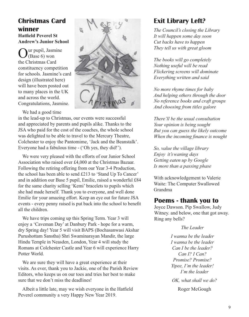## **Christmas Card winner Hatfield Peverel St**

**Andrew's Junior School**

ur pupil, Jasmine (Base 6) won the Christmas Card constituency competition for schools. Jasmine's card design (illustrated here) will have been posted out to many places in the UK and across the world. Congratulations, Jasmine.



We had a good time

in the lead-up to Christmas, our events were successful and appreciated by parents and pupils alike. Thanks to the JSA who paid for the cost of the coaches, the whole school was delighted to be able to travel to the Mercury Theatre, Colchester to enjoy the Pantomime, 'Jack and the Beanstalk'. Everyone had a fabulous time - ('Oh yes, they did!').

We were very pleased with the efforts of our Junior School Association who raised over £4,000 at the Christmas Bazaar. Following the retiring offering from our Year 3-4 Production, the school has been able to send £213 to 'Stand Up To Cancer' and in addition our Base 5 pupil, Emilie, raised a wonderful £84 for the same charity selling 'Kemi' bracelets to pupils which she had made herself. Thank you to everyone, and well done Emilie for your amazing effort. Keep an eye out for future JSA events - every penny raised is put back into the school to benefit all the children.

We have trips coming up this Spring Term. Year 3 will enjoy a 'Caveman Day' at Danbury Park - hope for a warm, dry Spring day! Year 5 will visit BAPS (Bochasanwasi Akshar Purushottam Sanstha) Shri Swaminarayan Mandir, the large Hindu Temple in Neasden, London, Year 4 will study the Romans at Colchester Castle and Year 6 will experience Harry Potter World.

We are sure they will have a great experience at their visits. As ever, thank you to Jackie, one of the Parish Review Editors, who keeps us on our toes and tries her best to make sure that we don't miss the deadlines!

Albeit a little late, may we wish everyone in the Hatfield Peverel community a very Happy New Year 2019.

## **Exit Library Left?**

*The Council's closing the Library It will happen some day soon Cut backs have to happen They tell us with great gloom*

*The books will go completely Nothing useful will be read Flickering screens will dominate Everything written and said*

*No more rhyme times for baby And helping others through the door No reference books and craft groups And choosing from titles galore*

*There'll be the usual consultation Your opinion is being sought But you can guess the likely outcome When the incoming finance is nought*

*So, value the village library Enjoy it's waning days Getting eaten up by Google Is more than a passing phase*

With acknowledgement to Valerie Waite: The Computer Swallowed Grandma

#### **Poems - thank you to**

Joyce Dawson. Pip Swallow, Judy Witney. and below, one that got away. Ring any bells?

*The Leader*

*I wanna be the leader I wanna be the leader Can I be the leader? Can I? I Can? Promise? Promise? Yipee, I'm the leader! I'm the leader OK, what shall we do?* Roger McGough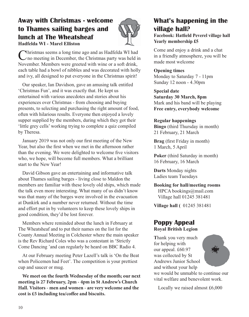## **Away with Christmas - welcome to Thames sailing barges and lunch at The Wheatsheaf Hadfelda WI - Marel Elliston**



Christmas seems a long time ago and as Hadfelda WI had no meeting in December, the Christmas party was held in November. Members were greeted with wine or a soft drink, each table had a bowl of nibbles and was decorated with holly and ivy, all designed to put everyone in the Christmas spirit!

Our speaker, Ian Davidson, gave an amusing talk entitled 'Christmas Fun', and it was exactly that. He kept us entertained with various anecdotes and stories about his experiences over Christmas - from choosing and buying presents, to selecting and purchasing the right amount of food, often with hilarious results. Everyone then enjoyed a lovely supper supplied by the members, during which they got their 'little grey cells' working trying to complete a quiz compiled by Theresa.

January 2019 was not only our first meeting of the New Year, but also the first when we met in the afternoon rather than the evening. We were delighted to welcome five visitors who, we hope, will become full members. What a brilliant start to the New Year!

David Gibson gave an entertaining and informative talk about Thames sailing barges - living close to Maldon the members are familiar with these lovely old ships, which made the talk even more interesting. What many of us didn't know was that many of the barges were involved in the evacuation at Dunkirk and a number never returned. Without the time and effort put in by volunteers to keep these lovely ships in good condition, they'd be lost forever.

Members where reminded about the lunch in February at The Wheatsheaf and to put their names on the list for the County Annual Meeting in Colchester where the main speaker is the Rev Richard Coles who was a contestant in 'Strictly Come Dancing 'and can regularly be heard on BBC Radio 4.

At our February meeting Peter Lazell's talk is 'On the Beat when Policemen had Feet'. The competition is your prettiest cup and saucer or mug.

**We meet on the fourth Wednesday of the month; our next meeting is 27 February, 2pm - 4pm in St Andrew's Church Hall. Visitors - men and women - are very welcome and the cost is £5 including tea/coffee and biscuits.**

## **What's happening in the village hall?**

**Facebook: Hatfield Peverel village hall Yearly membership £5**

Come and enjoy a drink and a chat in a friendly atmosphere, you will be made most welcome

#### **Opening times**

Monday to Saturday 7 - 11pm Sunday 12 noon - 4.30pm

**Special date Saturday 30 March, 8pm**  Mark and his band will be playing **Free entry, everybody welcome**

#### **Regular happenings**

**Bingo** (third Thursday in month) 21 February, 21 March

**Brag** (first Friday in month) 1 March, 5 April

**Poker** (third Saturday in month) 16 February, 16 March

**Darts** Monday nights Ladies team Tuesdays

**Booking for hall/meeting rooms** HPCA bookings@mail.com Village hall 01245 381481

**Village hall (** 01245 381481

#### **Poppy Appeal Royal British Legion**

**T**hank you very much for helping with our appeal. £60.97 was collected by St Andrews Junior School and without your help we would be unmable to continue our vital welfare and benevolent work.

Locally we raised almost £6,000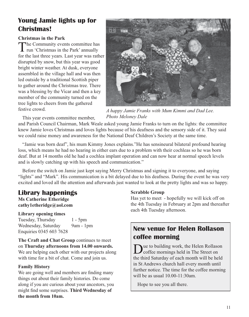## **Young Jamie lights up for Christmas!**

#### **Christmas in the Park**

The Community events committee has run 'Christmas in the Park' annually for the last three years. Last year was rather disrupted by snow, but this year was good bright winter weather. At dusk, everyone assembled in the village hall and was then led outside by a traditional Scottish piper to gather around the Christmas tree. There was a blessing by the Vicar and then a key member of the community turned on the tree lights to cheers from the gathered festive crowd.



*A happy Jamie Franks with Mum Kimmi and Dad Lee. Photo Meloney Dale*

This year events committee member,

and Parish Council Chairman, Mark Weale asked young Jamie Franks to turn on the lights: the committee knew Jamie loves Christmas and loves lights because of his deafness and the sensory side of it. They said we could raise money and awareness for the National Deaf Children's Society at the same time.

"Jamie was born deaf", his mum Kimmy Jones explains."He has sensineural bilateral profound hearing loss, which means he had no hearing in either ears due to a problem with their cochleas so he was born deaf. But at 14 months old he had a cochlea implant operation and can now hear at normal speech levels and is slowly catching up with his speech and communication."

Before the switch on Jamie just kept saying Merry Christmas and signing it to everyone, and saying "lights" and "Mark". His communication is a bit delayed due to his deafness. During the event he was very excited and loved all the attention and afterwards just wanted to look at the pretty lights and was so happy.

## **Library happenings**

**Ms Catherine Etheridge cathy1etheridge@aol.com**

#### **Library opening times**

Tuesday, Thursday 1 - 5pm Wednesday, Saturday 9am - 1pm Enquiries 0345 603 7628

**The Craft and Chat Group** continues to meet on **Thursday afternoons from 14.00 onwards.** We are helping each other with our projects along with time for a bit of chat. Come and join us.

#### **Family History**

We are going well and members are finding many things out about their family histories. Do come along if you are curious about your ancestors, you might find some surprises. **Third Wednesday of the month from 10am.**

#### **Scrabble Group**

Has yet to meet - hopefully we will kick off on the 4th Tuesday in February at 2pm and thereafter each 4th Tuesday afternoon.

## **New venue for Helen Rollason coffee morning**

ue to building work, the Helen Rollason coffee mornings held in The Street on the third Saturday of each month will be held in St Andrews church hall every month until further notice. The time for the coffee morning will be as usual 10.00-11:30am.

Hope to see you all there.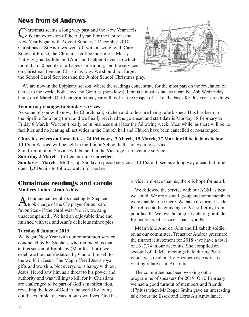## **News from St Andrews**

Christmas seems a long way past and the New Year feels<br>Like an extension of the old year. For the Church, the New Year began with Advent Sunday, 2 December 2018. Christmas at St Andrews went off with a swing, with Carol Songs of Praise, the Christmas coffee morning, a Messy Nativity (thanks John and Anna and helpers) event to which more than 50 people of all ages came along; and the services on Christmas Eve and Christmas Day. We should not forget the School Carol Services and the Junior School Christmas play.



We are now in the Epiphany season, where the readings concentrate for the most part on the revelation of Christ to the world, both Jews and Gentiles (non-Jews). Lent is almost as late as it can be; Ash Wednesday being on 6 March. Our Lent group this year will look at the Gospel of Luke, the basis for this year's readings.

#### **Temporary changes to Sunday services**

As some of you will know, the Church hall, kitchen and toilets are being refurbished. This has been in the pipeline for a long time, and we finally received the go ahead and start date is Monday 18 February to Friday 8 March. We won't really be in business until later the following week. Meanwhile, as there will be no facilities and no heating.all activities in the Church hall and Church have been cancelled or re-arranged.

#### **Church services on these dates - 24 February, 3 March, 19 March, 17 March will be held as below**

10.15am Service will be held in the Junior School hall - no evening service

8am Communion Service will be held in the Vicarage - no evening service

**Saturday 2 March** - Coffee morning **cancelled**

**Sunday 31 March** - Mothering Sunday a special service at 10.15am. It seems a long way ahead but time does fly! Details to follow; watch for posters.

## **Christmas readings and carols**

**Mothers Union - Jean Ashby**

At our annual members meeting Fr Stephen<br>took charge of the CD player for our carol favourites - if the carol wasn't on it, we sang unaccompanied!. We had an enjoyable time and finished with tea and Ann's delicious mince pies.

#### **Tuesday 8 January 2019**

We began New Year with our communion service conducted by Fr. Stephen, who reminded us that, at this season of Epiphany (Manifestation), we celebrate the manifestation by God of himself to the world in Jesus. The Magi offered Jesus royal gifts and worship. Not everyone is happy with our Jesus. Herod saw him as a threat to his power and authority and was willing to kill for it. Christians are challenged to be part of God's manifestation, revealing the love of God to the world by living out the example of Jesus in our own lives. God has a wider embrace than us, there is hope for us all.

We followed the service with our AGM as best we could. We are a small group and some members were unable to be there. We have no formal leader. Pat retired at the grand age of 92, suffering from poor health. We owe her a great debt of gratitude for her years of service. Thank you Pat.

Meanwhile Andrea, Ann and Elizabeth soldier on as our committee. Treasurer Andrea presented the financial statement for 2018 - we have a total of £617.74 in our accounts. She compiled an account of all MU meetings held during 2018 which was read out by Elizabeth as Andrea is visiting relatives in Australia.

The committee has been working out a programme of speakers for 2019. On 5 February we had a good turnout of members and friends (17plus) when Mr Roger Smith gave an interesting talk about the Essex and Herts Air Ambulance.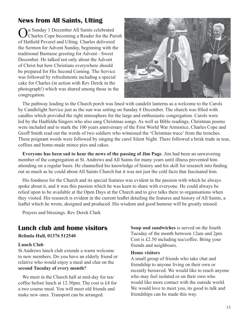## **News from All Saints, Ulting**

On Sunday 1 December All Saints celebrated Charles Cope becoming a Reader for the Parish of Hatfield Peverel and Ulting. Charles delivered the Sermon for Advent Sunday, beginning with the traditional Burmese greeting for Advent - Sweet December. He talked not only about the Advent of Christ but how Christians everywhere should be prepared for His Second Coming. The Service was followed by refreshments including a special cake for Charles (in action with Rev Derek in the photograph!) which was shared among those in the congregation.



The pathway leading to the Church porch was lined with candelit lanterns as a welcome to the Carols by Candlelight Service just as the sun was setting on Sunday 8 December. The church was filled with candles which provided the right atmosphere for the large and enthusiastic congregation. Carols were led by the Hadfelda Singers who also sang Christmas songs. As well as Bible readings, Christmas poems were included and to mark the 100 years anniversary of the First World War Armistice, Charles Cope and Geoff Smith read out the words of two soldiers who witnessed the 'Christmas truce' from the trenches. These poignant words were followed by singing the carol Silent Night. There followed a brisk trade in teas, coffees and home-made mince pies and cakes.

**Everyone has been sad to hear the news of the passing of Jim Page**. Jim had been an unwavering member of the congregation at St. Andrews and All Saints for many years until illness prevented him attending on a regular basis. He channelled his knowledge of history and his skill for research into finding out as much as he could about All Saints Church but it was not just the cold facts that fascinated him.

His fondness for the Church and its special features was evident in the passion with which he always spoke about it, and it was this passion which he was keen to share with everyone. He could always be relied upon to be available at the Open Days at the Church and to give talks there to organisations when they visited. His research is evident in the current leaflet detailing the features and history of All Saints, a leaflet which he wrote, designed and produced. His wisdom and good humour will be greatly missed.

Prayers and blessings. Rev Derek Clark

## **Lunch club and home visitors**

**Belinda Hull, 01376 512540**

#### **Lunch Club**

St Andrews lunch club extends a warm welcome to new members. Do you have an elderly friend or relative who would enjoy a meal and chat on the **second Tuesday of every month?**

We meet in the Church hall at mid-day for tea/ coffee before lunch at 12.30pm. The cost is £4 for a two course meal. You will meet old friends and make new ones. Transport can be arranged.

**Soup and sandwiches** is served on the fourth Tuesday of the month between 12am and 2pm. Cost is £2.50 including tea/coffee. Bring your friends and neighbours.

#### **Home visitors**

A small group of friends who take chat and friendship to anyone living on their own or recently bereaved. We would like to reach anyone who may feel isolated or on their own who would like more contact with the outside world. We would love to meet you, its good to talk and friendships can be made this way.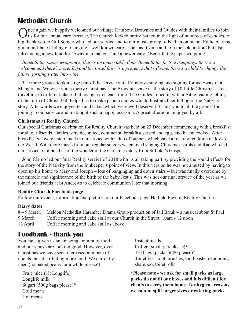## **Methodist Church**

Once again we happily welcomed our village Rainbow, Brownies and Guides with their families to join us for our annual carol service. The Church looked pretty bathed in the light of hundreds of candles. A big thank you to Gill Songer who led our service and to our music group of Nathan on piano, Eddie playing guitar and Jane leading our singing - well known carols such as 'Come and join the celebration' but also introducing a new tune for 'Away in a manger' and a newer carol 'Beneath the paper wrapping'

*Beneath the paper wrappings, there's an open stable door. Beneath the fir tree trappings, there's a welcome and there's more. Beyond the tinsel fairy is a presence that's divine, there's a child to change the future, turning water into wine.*

The three groups took a large part of the service with Rainbows singing and signing for us, Away in a Manger and We wish you a merry Christmas. The Brownies gave us the story of 10 Little Christmas Trees travelling to different places but losing a tree each time. The Guides joined in with a Bible reading telling of the birth of Christ. Gill helped us to make paper candles which illustrated her telling of the Nativity story. Afterwards we enjoyed tea and cakes which were well deserved. Thank you to all the groups for joining in our service and making it such a happy occasion. A great afternoon, enjoyed by all.

#### **Christmas at Reality Church**

Our special Christmas celebration for Reality Church was held on 23 December commencing with a breakfast for all our friends – tables were decorated, continental breakfast served and eggs and bacon cooked. After breakfast we were entertained in our service with a duo of puppets which gave a rocking rendition of Joy to the World. With more music from our regular singers we enjoyed singing Christmas carols and Ria, who led our service, reminded us of the wonder of the Christmas story from St Luke's Gospel.

John Clemo led our final Reality service of 2018 with us all taking part by providing the sound effects for the story of the Nativity from the Innkeeper's point of view. In this version he was not amused by having to open up his home to Mary and Joseph – lots of banging up and down stairs – but was finally overcome by the miracle and significance of the birth of the baby Jesus. This was not our final service of the year as we joined our friends at St Andrews to celebrate communion later that morning.

#### **Reality Church Facebook page**

Follow our events, information and pictures on our Facebook page Hatfield Peverel Reality Church

#### **Diary dates**

8 – 9 March Maldon Methodist Harambee Drama Group production of Jail Break – a musical about St Paul 9 March Coffee morning and cake stall at our Church in the Street, 10am - 12 noon 13 April Coffee morning and cake stall as above

### **Foodbank - thank you**

You have given us an amazing amount of food and our stocks are looking good. However, over Christmas we have seen increased numbers of clients thus distributing more food. We currently need (no baked beans for a while please!)

 Fruit juice (1lt Longlife) Longlife milk Sugart (500g bags please)\* Cold meats Hot meats

 Instant meals Coffee (small jars please)\* Tea bags (packs of 80 please)\* Toiletries - toothbrushes, toothpaste, deodorant, shampoo, toilet rolls

**\*Please note - we ask for small packs as large packs do not fit our boxes and it is difficult for clients to carry them home. For hygiene reasons we cannot split larger sizes or catering packs**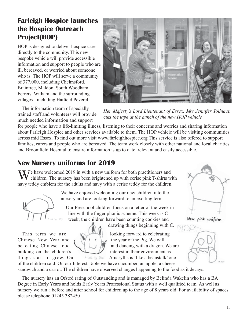## **Farleigh Hospice launches the Hospice Outreach Project(HOP)**

HOP is designed to deliver hospice care directly to the community. This new bespoke vehicle will provide accessible information and support to people who are ill, bereaved, or worried about someone who is. The HOP will serve a community of 377,000, including Chelmsford, Braintree, Maldon, South Woodham Ferrers, Witham and the surrounding villages - including Hatfield Peverel.

The information team of specially trained staff and volunteers will provide much needed information and support



*Her Majesty's Lord Lieutenant of Essex, Mrs Jennifer Tolhurst, cuts the tape at the aunch of the new HOP vehicle*

for people who have a life-limiting illness, listening to their concerns and worries and sharing information about Farleigh Hospice and other services available to them. The HOP vehicle will be visiting communities across mid Essex. To find out more visit www.farleighhospice.org This service is also offered to support families, carers and people who are bereaved. The team work closely with other national and local charities and Broomfield Hospital to ensure information is up to date, relevant and easily accessible.

## **New Nursery uniforms for 2019**

We have welcomed 2019 in with a new uniform for both practitioners and children. The nursery has been brightened up with cerise pink T-shirts with navy teddy emblem for the adults and navy with a cerise teddy for the children.



We have enjoyed welcoming our new children into the nursery and are looking forward to an exciting term.

Our Preschool children focus on a letter of the week in line with the finger phonic scheme. This week is C week; the children have been counting cookies and

drawing things beginning with C.

This term we are  $\sim$  looking forward to celebrating Chinese New Year and  $\sqrt{1 + \frac{1}{\epsilon}}$  the year of the Pig. We will be eating Chinese food  $\bigcup \bigcup \{$  and dancing with a dragon. We are building on the children's interest in their environment as things start to grow. Our Amaryllis is 'like a beanstalk' one



New pink uniform.



of the children said. On our Interest Table we have cucumber, an apple, a cheese sandwich and a carrot. The children have observed changes happening to the food as it decays.

The nursery has an Ofsted rating of Outstanding and is managed by Belinda Wakelin who has a BA Degree in Early Years and holds Early Years Professional Status with a well qualified team. As well as nursery we run a before and after school for children up to the age of 8 years old. For availability of spaces please telephone 01245 382450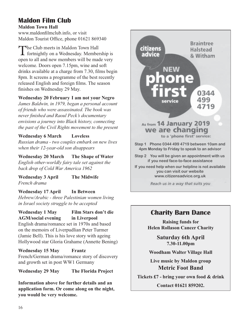## **Maldon Film Club**

**Maldon Town Hall** www.maldonfilmclub.info, or visit Maldon Tourist Office, phone 01621 869340

The Club meets in Maldon Town Hall<br>
fortnightly on a Wednesday. Membership is open to all and new members will be made very welcome. Doors open 7.15pm, wine and soft drinks available at a charge from 7.30, films begin 8pm. It screens a programme of the best recently released English and foreign films. The season finishes on Wednesday 29 May.

#### **Wednesday 20 February I am not your Negro**

*James Baldwin, in 1979, began a personal account of friends who were assassinated. The book was never finished and Raoul Peck's documentary envisions a journey into Black history, connecting the past of the Civil Rights movement to the present*

#### **Wednesday 6 March Loveless**

*Russian drama - two couples embark on new lives when their 12-year-old son disappears*

**Wednesday 20 March The Shape of Water** *English other-worldly fairy tale set against the back drop of Cold War America 1962*

**Wednesday 3 April The Midwife** *French drama*

**Wednesday 17 April In Between** *Hebrew/Arabic - three Palestinian women living in Israel society struggle to be accepted*

#### **Wednesday 1 May Film Stars don't die AGM/social evening in Liverpool**

English drama/romance set in 1970s and based on the memoirs of Liverpudlian Peter Turmer (Jamie Bell). This is his love story with ageing Hollywood star Gloria Grahame (Annette Bening)

**Wednesday 15 May Frantz** French/German drama/romance story of discovery and growth set in post WW1 Germany

**Wednesday 29 May The Florida Project**

**Information above for further details and an application form. Or come along on the night, you would be very welcome.** 



## **Charity Barn Dance**

**Raising funds for Helen Rollason Cancer Charity**

> **Saturday 6th April 7.30-11.00pm**

**Woodham Walter Village Hall**

**Live music by Maldon group Metric Foot Band**

**Tickets £7 - bring your own food & drink**

**Contact 01621 859202.**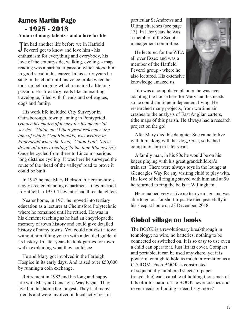## **James Martin Page - 1925 - 2018**

#### **A man of many talents - and a love for life**

**J** im had another life before we in Hatfiel<br>Peverel got to know and love him - his **Tim had another life before we in Hatfield** enthusiasm for everything and everybody, his love of the countryside, walking, cycling, - map reading was a particular passion which stood him in good stead in his career. In his early years he sang in the choir until his voice broke when he took up bell ringing which remained a lifelong passion. His life story reads like an exciting travelogue, filled with friends and colleagues, dogs and family.

His work life included City Surveyor in Gainsborough, town planning in Pontypridd. (*Hence his choice of hymns for his memorial service. 'Guide me O thou great redeemer' the tune of which, Cym Rhondda, was written in Pontypridd where he lived, 'Calon Lan', 'Love divine all loves excelling' to the tune Blaenwern.*) Once he cycled from there to Lincoln – serious long distance cycling! It was here he surveyed the route of the 'head of the valleys' road to prove it could be built.

In 1947 he met Mary Hickson in Hertforshire's newly created planning department - they married in Hatfield in 1950. They later had three daughters.

Nearer home, in 1971 he moved into tertiary education as a lecturer at Chelmsford Polytechnic where he remained until he retired. He was in his element teaching as he had an encyclopaedic memory of town history and could give detailed history of many towns. You could not visit a town without him filling you in with a detailed guide of its history. In later years he took parties for town walks explaining what they could see.

He and Mary got involved in the Farleigh Hospice in its early days. And raised over £50,000 by running a coin exchange.

Retirement in 1983 and his long and happy life with Mary at Gleneagles Way began. They lived in this home the longest. They had many friends and were involved in local activities, in particular St Andrews and Ulting churches (see page 13). In later years he was a member of the Scouts management committee.

He lectured for the WEA all over Essex and was a member of the Hatfield Peverel group - where he also lectured. His extensive knowledge amazed us.



Jim was a compulsive planner, he was ever adapting the house here for Mary and his needs so he could continue independent living. He researched many projects, from wartime air crashes to the analysis of East Anglian carters, tithe maps of this parish. He always had a research project on the go!

Afer Mary died his daughter Sue came to live with him along with her dog, Orca, so he had companionship in later years.

A family man, in his 80s he would be on his knees playing with his great grandchildren's train set. There were always toys in the lounge at Gleneagles Way for any visiting child to play with. His love of bell ringing stayed with him and at 90 he returned to ring the bells at Willingham.

He remained very active up to a year ago and was able to go out for short trips. He died peacefully in his sleep at home on 28 December, 2018.

## **Global village on books**

The BOOK is a revolutionary breakthrough in tehnology; no wire, no batteries, nothing to be connected or switched on. It is so easy to use even a child can operate it. Just lift its cover. Compact and portable, it can be used anywhere, yet it is powerful enough to hold as much information as a CD-ROM. Each BOOK is constructed of sequentially numbered sheets of paper (recyclable) each capable of holding thousands of bits of information. The BOOK never crashes and never needs re-booting - need I say more?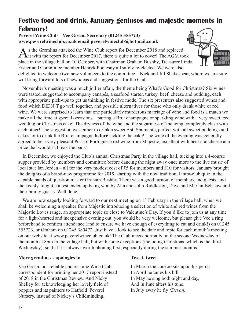## **Festive food and drink, January geniuses and majestic moments in February!**

#### **Peverel Wine Club – Vee Green, Secretary (01245 355723) www.peverelwineclub.co.uk email peverelwineclub@hotmail.co.uk**

As the Gremlins attacked the Wine Club report for December 2018 and replaced<br>it with the report for December 2017, there is quite a lot to cover! The AGM took place in the village hall on 10 October, with Chairman Graham Bushby, Treasurer Linda Fisher and Committee member Henryk Podlesny all safely re-elected. We were also

delighted to welcome two new volunteers to the committee – Nick and Jill Shakespear, whom we are sure will bring forward lots of new ideas and suggestions for the Club.

November's meeting was a much jollier affair, the theme being What's Good for Christmas? Six wines were tasted, suggested to accompany canapés, a seafood starter, turkey, beef, cheese and pudding, each with appropriate pick-ups to get us thinking in festive mode. The six presenters also suggested wines and food which DIDN'T go well together, and possible alternatives for those who only drank white or red wine. We were surprised to learn that one particularly murderous marriage of wine and food is a match we make all the time at special occasions – pairing a Brut champagne or sparkling wine with a very sweet iced wedding or Christmas cake! The dryness of the wine and the sugariness of the icing completely clash with each other! The suggestion was either to drink a sweet Asti Spumante, perfect with all sweet puddings and cakes, or to drink the Brut champagne **before** tackling the cake! The wine of the evening was generally agreed to be a very pleasant Porta 6 Portuguese red wine from Majestic, excellent with beef and cheese at a price that wouldn't break the bank!

In December, we enjoyed the Club's annual Christmas Party in the village hall, tucking into a 4-course supper provided by members and committee before dancing the night away once more to the live music of local star Ian Jordan – all for the very modest cost of £5 for members and £10 for visitors. January brought the delights of a brand-new programme for 2019, starting with the now traditional intra-club quiz in the capable hands of question master Graham Bushby. There was a good turnout of members and guests, and the keenly-fought contest ended up being won by Ann and John Riddleston, Dave and Marian Belshaw and their brainy guests. Well done!

We are now eagerly looking forward to our next meeting on 13 February in the village hall, when we shall be welcoming a speaker from Majestic introducing a selection of white and red wines from the Majestic Loves range, an appropriate topic so close to Valentine's Day. If you'd like to join us at any time for a light-hearted and inexpensive evening out, you would be very welcome, but please give Vee a ring beforehand to confirm attendance (and to ensure we have enough of everything to eat and drink!) on 01245 355723, or Graham on 01245 380472. Just have a look to see the date and topic for each month's meeting on our website at www.peverelwineclub.co.uk/ The Club meets normally on the second Wednesday of the month at 8pm in the village hall, but with some exceptions (including Christmas, which is the third Wednesday), so that it is always worth phoning first, especially during the summer months.

#### **More gremlines - apologies to**

Vee Green, our reliable and on-time Wine Club correspondent for printing her 2017 report instead of 2018 in the Christmas Review. And Nicky Shelley for acknowledging her lovely field of poppies and its painters to Hatfield Peverel Nursery. instead of Nickey's Childminding.

#### **Tweet, tweet**

In March the cuckoo sits upon his perch In April he tunes his bill. In May he sing both night and day, And in June alters his tune. In July away he fly *(Devon)*

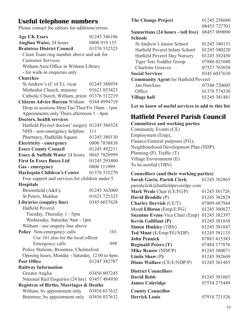## **Useful telephone numbers**

Please contact the editors for additions/errors.

| <b>Age UK Essex</b>                                | 01245 346106 |  |
|----------------------------------------------------|--------------|--|
| <b>Anglian Water, 24 hours</b>                     | 0800 919 155 |  |
| <b>Braintree District Council</b>                  | 01376 552525 |  |
| Clean Team ring number above and ask for           |              |  |
| <b>Customer Services</b>                           |              |  |
| Witham Area Office in Witham Library               |              |  |
| - for walk-in enquiries only                       |              |  |
| <b>Churches</b>                                    |              |  |
| St Andrew's (C of E), vicar                        | 01245 380958 |  |
| Methodist Church, minister                         | 01621 853423 |  |
| Catholic Church, Witham, priest 01376 512219       |              |  |
| <b>Citizens Advice Bureau Witham</b>               | 0344 4994719 |  |
| Drop-in sessions Mon/Tue/Thur/Fri 10am - 1pm       |              |  |
| Appoinments only Thurs afternoon 1 - 4pm           |              |  |
| Doctors, health services                           |              |  |
| Hatfield Peverel doctors' surgery                  | 01245 380324 |  |
| NHS - non-emergency helpline                       | 111          |  |
| Pharmacy, Hadfelda Square                          | 01245 380130 |  |
| <b>Electricity - emergency</b>                     | 0800 7838838 |  |
| <b>Essex County Council</b>                        | 01245 492211 |  |
| Essex & Suffolk Water 24 hours                     | 0845 7820999 |  |
| <b>First In Essex Buses Ltd</b>                    | 01245 293400 |  |
| Gas - emergency                                    | 0800 111999  |  |
| <b>Harlequin Children's Centre</b>                 | 01376 535270 |  |
| Free support and services for children under 5     |              |  |
| <b>Hospitals</b>                                   |              |  |
| Broomfield (A&E);                                  | 01245 362000 |  |
| St Peters, Maldon                                  | 01621 725323 |  |
| Libraries (enquiry line)                           | 0345 6037628 |  |
| <b>Hatfield Peverel</b>                            |              |  |
| Tuesday, Thursday 1 - 5pm                          |              |  |
| Wednesday, Saturday 9am - 1pm                      |              |  |
| Witham - use enquiry line above                    |              |  |
| Police Non-emergency calls                         | 101          |  |
| Use 101 also for the local officer                 |              |  |
| Emergency calls                                    | 999          |  |
| Police Stations, Braintree, Chelmsford             |              |  |
| Opening hours, Monday - Saturday, 12.00 to 6pm     |              |  |
| <b>Post Office</b>                                 | 01245 382787 |  |
| <b>Railway Information</b>                         |              |  |
| Greater Anglia                                     | 03456 007245 |  |
| National Rail Enquiries (24 hrs)                   | 03457 484950 |  |
| <b>Registrar of Births, Marriages &amp; Deaths</b> |              |  |
| Witham, by appointment only                        | 03456 037632 |  |
| Braintree, by appointment only                     | 03456 037632 |  |
|                                                    |              |  |
|                                                    |              |  |

| <b>The Change Project</b>                   | 01245 258680 |  |
|---------------------------------------------|--------------|--|
|                                             | 08453 727701 |  |
| Samaritans (24 hours - toll free)           | 08457 909090 |  |
| <b>Schools</b>                              |              |  |
| St Andrew's Junior School                   | 01245 380131 |  |
| Hatfield Peverel Infant School              | 01245 380220 |  |
| Hatfield Peverel Day Nursery                | 01245 382450 |  |
| Tiger Tots Toddler Group                    | 07886 021048 |  |
| Charlotte Greaves                           | 07527 763038 |  |
| <b>Social Services</b>                      | 0345 6037630 |  |
| <b>Community Agent for Hatfield Peverel</b> |              |  |
| Jan Hawkins                                 | 07540 720605 |  |
| Office                                      | 01376 574330 |  |
| Village hall                                | 01245381481  |  |

**Let us know of useful services to add to this list**

## **Hatfield Peverel Parish Council**

**Committees and working parties** Community Events (CE) Employment (Emp), Finance/General purposes (FG), Neighbourhood Development Plan (NDP), Planning (P), Traffic (T) Village Environment (E) To be notifed (TBN)

#### **Councillors (and their working parties)**

| Sarah Gaeta, Parish Clerk             | 01245 382865 |
|---------------------------------------|--------------|
| parishclerk@hatfieldpeverelpc.com     |              |
| Mark Weale Chair (CE/FG/P)            | 01245 381726 |
| David Broddle (P)                     | 01245 382829 |
| <b>Charley Dervish (CE/T)</b>         | 07809 687944 |
| Marel Elliston (Emp/E/FG)             | 01245 380827 |
| <b>Suzanne Evans Vice Chair (Emp)</b> | 01245 382397 |
| <b>Kevin Gallifant (P)</b>            | 01245 381850 |
| <b>Simon Hinkley (TBN)</b>            | 01245 381847 |
| Ted Munt (E/Emp/FG/NDP)               | 01245 381135 |
| <b>John Pennick</b>                   | 07881 415383 |
| <b>Reginald Peters (T)</b>            | 07484 377876 |
| <b>Mike Renow (NDP/P)</b>             | 01245 380071 |
| Linda Shaw $(P)$                      | 01245 382669 |
| Diane Wallace (CE/E/NDP/P)            | 01245 381485 |
| <b>District Councillors</b>           |              |
| <b>David Bebb</b>                     | 01245 381065 |
| <b>James Coleridge</b>                | 07534 275449 |
| <b>County Councillor</b>              |              |
| <b>Derrick Louis</b>                  | 07918 721526 |